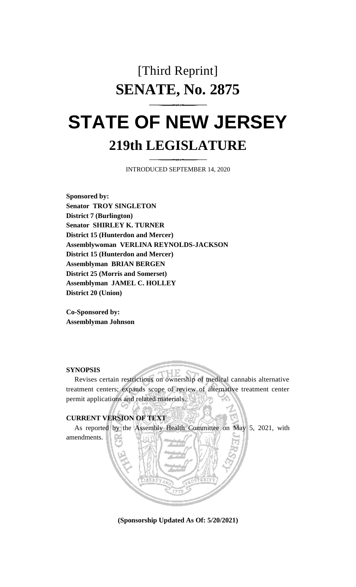## [Third Reprint] **SENATE, No. 2875**

# **STATE OF NEW JERSEY 219th LEGISLATURE**

INTRODUCED SEPTEMBER 14, 2020

**Sponsored by: Senator TROY SINGLETON District 7 (Burlington) Senator SHIRLEY K. TURNER District 15 (Hunterdon and Mercer) Assemblywoman VERLINA REYNOLDS-JACKSON District 15 (Hunterdon and Mercer) Assemblyman BRIAN BERGEN District 25 (Morris and Somerset) Assemblyman JAMEL C. HOLLEY District 20 (Union)**

**Co-Sponsored by: Assemblyman Johnson**

### **SYNOPSIS**

Revises certain restrictions on ownership of medical cannabis alternative treatment centers; expands scope of review of alternative treatment center permit applications and related materials.

## **CURRENT VERSION OF TEXT**

As reported by the Assembly Health Committee on May 5, 2021, with amendments.

**(Sponsorship Updated As Of: 5/20/2021)**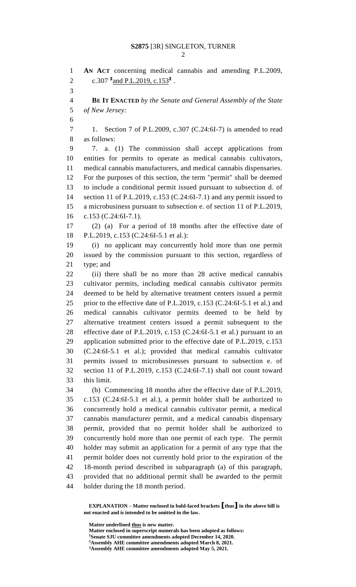**AN ACT** concerning medical cannabis and amending P.L.2009, 2 c.307 <sup>2</sup> and P.L.2019, c.153<sup>2</sup>. **BE IT ENACTED** *by the Senate and General Assembly of the State of New Jersey:* 1. Section 7 of P.L.2009, c.307 (C.24:6I-7) is amended to read as follows: 7. a. (1) The commission shall accept applications from entities for permits to operate as medical cannabis cultivators, medical cannabis manufacturers, and medical cannabis dispensaries. For the purposes of this section, the term "permit" shall be deemed to include a conditional permit issued pursuant to subsection d. of section 11 of P.L.2019, c.153 (C.24:6I-7.1) and any permit issued to a microbusiness pursuant to subsection e. of section 11 of P.L.2019, c.153 (C.24:6I-7.1). (2) (a) For a period of 18 months after the effective date of P.L.2019, c.153 (C.24:6I-5.1 et al.): (i) no applicant may concurrently hold more than one permit issued by the commission pursuant to this section, regardless of type; and (ii) there shall be no more than 28 active medical cannabis cultivator permits, including medical cannabis cultivator permits deemed to be held by alternative treatment centers issued a permit prior to the effective date of P.L.2019, c.153 (C.24:6I-5.1 et al.) and medical cannabis cultivator permits deemed to be held by alternative treatment centers issued a permit subsequent to the effective date of P.L.2019, c.153 (C.24:6I-5.1 et al.) pursuant to an application submitted prior to the effective date of P.L.2019, c.153 (C.24:6I-5.1 et al.); provided that medical cannabis cultivator permits issued to microbusinesses pursuant to subsection e. of section 11 of P.L.2019, c.153 (C.24:6I-7.1) shall not count toward this limit. (b) Commencing 18 months after the effective date of P.L.2019, c.153 (C.24:6I-5.1 et al.), a permit holder shall be authorized to concurrently hold a medical cannabis cultivator permit, a medical cannabis manufacturer permit, and a medical cannabis dispensary permit, provided that no permit holder shall be authorized to concurrently hold more than one permit of each type. The permit holder may submit an application for a permit of any type that the permit holder does not currently hold prior to the expiration of the 18-month period described in subparagraph (a) of this paragraph, provided that no additional permit shall be awarded to the permit holder during the 18 month period.

**EXPLANATION – Matter enclosed in bold-faced brackets [thus] in the above bill is not enacted and is intended to be omitted in the law.**

**Matter underlined thus is new matter.**

**Matter enclosed in superscript numerals has been adopted as follows: Senate SJU committee amendments adopted December 14, 2020. Assembly AHE committee amendments adopted March 8, 2021.**

**Assembly AHE committee amendments adopted May 5, 2021.**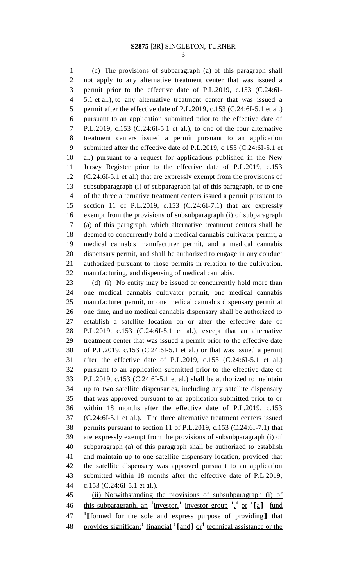(c) The provisions of subparagraph (a) of this paragraph shall not apply to any alternative treatment center that was issued a permit prior to the effective date of P.L.2019, c.153 (C.24:6I- 5.1 et al.), to any alternative treatment center that was issued a 5 permit after the effective date of P.L.2019, c.153 (C.24:6I-5.1 et al.) pursuant to an application submitted prior to the effective date of P.L.2019, c.153 (C.24:6I-5.1 et al.), to one of the four alternative treatment centers issued a permit pursuant to an application submitted after the effective date of P.L.2019, c.153 (C.24:6I-5.1 et al.) pursuant to a request for applications published in the New Jersey Register prior to the effective date of P.L.2019, c.153 (C.24:6I-5.1 et al.) that are expressly exempt from the provisions of subsubparagraph (i) of subparagraph (a) of this paragraph, or to one of the three alternative treatment centers issued a permit pursuant to section 11 of P.L.2019, c.153 (C.24:6I-7.1) that are expressly exempt from the provisions of subsubparagraph (i) of subparagraph (a) of this paragraph, which alternative treatment centers shall be deemed to concurrently hold a medical cannabis cultivator permit, a medical cannabis manufacturer permit, and a medical cannabis dispensary permit, and shall be authorized to engage in any conduct authorized pursuant to those permits in relation to the cultivation, manufacturing, and dispensing of medical cannabis.

23 (d) (i) No entity may be issued or concurrently hold more than one medical cannabis cultivator permit, one medical cannabis manufacturer permit, or one medical cannabis dispensary permit at one time, and no medical cannabis dispensary shall be authorized to establish a satellite location on or after the effective date of P.L.2019, c.153 (C.24:6I-5.1 et al.), except that an alternative treatment center that was issued a permit prior to the effective date of P.L.2019, c.153 (C.24:6I-5.1 et al.) or that was issued a permit after the effective date of P.L.2019, c.153 (C.24:6I-5.1 et al.) pursuant to an application submitted prior to the effective date of P.L.2019, c.153 (C.24:6I-5.1 et al.) shall be authorized to maintain up to two satellite dispensaries, including any satellite dispensary that was approved pursuant to an application submitted prior to or within 18 months after the effective date of P.L.2019, c.153 (C.24:6I-5.1 et al.). The three alternative treatment centers issued permits pursuant to section 11 of P.L.2019, c.153 (C.24:6I-7.1) that are expressly exempt from the provisions of subsubparagraph (i) of subparagraph (a) of this paragraph shall be authorized to establish and maintain up to one satellite dispensary location, provided that the satellite dispensary was approved pursuant to an application submitted within 18 months after the effective date of P.L.2019, c.153 (C.24:6I-5.1 et al.).

 (ii) Notwithstanding the provisions of subsubparagraph (i) of this subparagraph, an **<sup>1</sup>** investor,**<sup>1</sup>** investor group **<sup>1</sup>** , **1** or **<sup>1</sup> [**a**] 1** fund **1 [**formed for the sole and express purpose of providing**]** that provides significant**<sup>1</sup>** financial **<sup>1</sup> [**and**]** or**<sup>1</sup>** technical assistance or the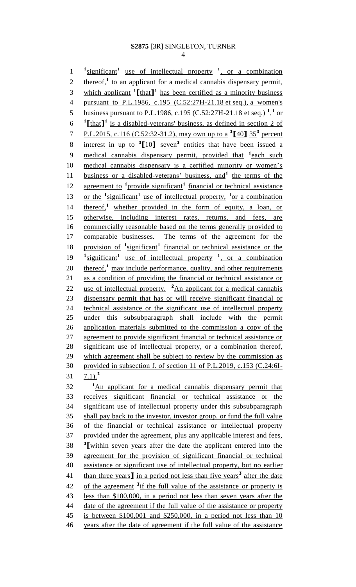4

1 <sup>1</sup>significant<sup>1</sup> use of intellectual property <sup>1</sup>, or a combination 2 thereof,<sup>1</sup> to an applicant for a medical cannabis dispensary permit, 3 which applicant  $\textbf{1}$  [that **]** has been certified as a minority business 4 pursuant to P.L.1986, c.195 (C.52:27H-21.18 et seq.), a women's 5 business pursuant to P.L.1986, c.195 (C.52:27H-21.18 et seq.)<sup>1</sup><sup>1</sup> or  $1$   $\text{[that]}$ <sup>1</sup> is a disabled-veterans' business, as defined in section 2 of P.L.2015, c.116 (C.52:32-31.2), may own up to a **<sup>3</sup> [**40**]** 35**<sup>3</sup>** 7 percent 8 interest in up to <sup>3</sup>[10] seven<sup>3</sup> entities that have been issued a 9 medical cannabis dispensary permit, provided that <sup>1</sup> each such 10 medical cannabis dispensary is a certified minority or women's 11 business or a disabled-veterans' business, and<sup>1</sup> the terms of the 12 agreement to <sup>1</sup> provide significant<sup>1</sup> financial or technical assistance 13 or the <sup>1</sup>significant<sup>1</sup> use of intellectual property, <sup>1</sup> or a combination 14 thereof,<sup>1</sup> whether provided in the form of equity, a loan, or 15 otherwise, including interest rates, returns, and fees, are 16 commercially reasonable based on the terms generally provided to 17 comparable businesses. The terms of the agreement for the 18 provision of <sup>1</sup> significant<sup>1</sup> financial or technical assistance or the 19 <sup>1</sup> significant<sup>1</sup> use of intellectual property <sup>1</sup>, or a combination 20 thereof,<sup>1</sup> may include performance, quality, and other requirements 21 as a condition of providing the financial or technical assistance or 22 use of intellectual property.  $^2$ An applicant for a medical cannabis 23 dispensary permit that has or will receive significant financial or 24 technical assistance or the significant use of intellectual property 25 under this subsubparagraph shall include with the permit 26 application materials submitted to the commission a copy of the 27 agreement to provide significant financial or technical assistance or 28 significant use of intellectual property, or a combination thereof, 29 which agreement shall be subject to review by the commission as 30 provided in subsection f. of section 11 of P.L.2019, c.153 (C.24:6I- $7.1$ <sup>2</sup> 31 <sup>1</sup>An applicant for a medical cannabis dispensary permit that 33 receives significant financial or technical assistance or the 34 significant use of intellectual property under this subsubparagraph 35 shall pay back to the investor, investor group, or fund the full value 36 of the financial or technical assistance or intellectual property 37 provided under the agreement, plus any applicable interest and fees, **3** 38 **[**within seven years after the date the applicant entered into the 39 agreement for the provision of significant financial or technical 40 assistance or significant use of intellectual property, but no earlier 41 than three years<sup>1</sup> in a period not less than five years<sup>3</sup> after the date 42 of the agreement <sup>3</sup>if the full value of the assistance or property is 43 less than \$100,000, in a period not less than seven years after the 44 date of the agreement if the full value of the assistance or property 45 is between \$100,001 and \$250,000, in a period not less than 10 46 years after the date of agreement if the full value of the assistance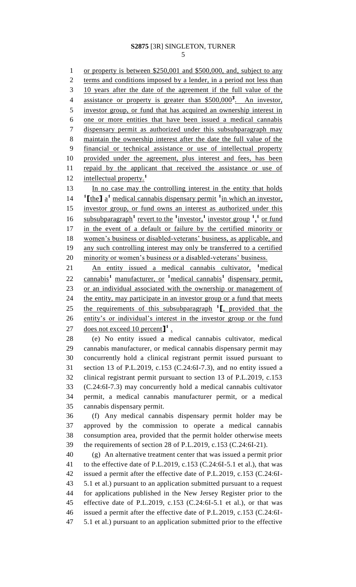or property is between \$250,001 and \$500,000, and, subject to any 2 terms and conditions imposed by a lender, in a period not less than 10 years after the date of the agreement if the full value of the 4 assistance or property is greater than \$500,000<sup>3</sup>. An investor, investor group, or fund that has acquired an ownership interest in one or more entities that have been issued a medical cannabis dispensary permit as authorized under this subsubparagraph may maintain the ownership interest after the date the full value of the financial or technical assistance or use of intellectual property provided under the agreement, plus interest and fees, has been 11 repaid by the applicant that received the assistance or use of intellectual property.**<sup>1</sup>** 13 In no case may the controlling interest in the entity that holds *l***the]** a<sup>1</sup> medical cannabis dispensary permit <sup>1</sup> in which an investor, investor group, or fund owns an interest as authorized under this 16 subsubparagraph<sup>1</sup> revert to the <sup>1</sup>investor,<sup>1</sup> investor group <sup>1</sup>,<sup>1</sup> or fund in the event of a default or failure by the certified minority or women's business or disabled-veterans' business, as applicable, and any such controlling interest may only be transferred to a certified minority or women's business or a disabled-veterans' business. **An entity issued a medical cannabis cultivator, <sup>1</sup> medical** 22 cannabis<sup>1</sup> manufacturer, or <sup>1</sup>medical cannabis<sup>1</sup> dispensary permit, or an individual associated with the ownership or management of 24 the entity, may participate in an investor group or a fund that meets 25 the requirements of this subsubparagraph <sup>1</sup><sub>L</sub> provided that the entity's or individual's interest in the investor group or the fund 27 does not exceed 10 percent<sup>1</sup>. (e) No entity issued a medical cannabis cultivator, medical cannabis manufacturer, or medical cannabis dispensary permit may concurrently hold a clinical registrant permit issued pursuant to section 13 of P.L.2019, c.153 (C.24:6I-7.3), and no entity issued a

 clinical registrant permit pursuant to section 13 of P.L.2019, c.153 (C.24:6I-7.3) may concurrently hold a medical cannabis cultivator permit, a medical cannabis manufacturer permit, or a medical cannabis dispensary permit.

 (f) Any medical cannabis dispensary permit holder may be approved by the commission to operate a medical cannabis consumption area, provided that the permit holder otherwise meets the requirements of section 28 of P.L.2019, c.153 (C.24:6I-21).

 (g) An alternative treatment center that was issued a permit prior to the effective date of P.L.2019, c.153 (C.24:6I-5.1 et al.), that was issued a permit after the effective date of P.L.2019, c.153 (C.24:6I- 5.1 et al.) pursuant to an application submitted pursuant to a request for applications published in the New Jersey Register prior to the effective date of P.L.2019, c.153 (C.24:6I-5.1 et al.), or that was issued a permit after the effective date of P.L.2019, c.153 (C.24:6I-5.1 et al.) pursuant to an application submitted prior to the effective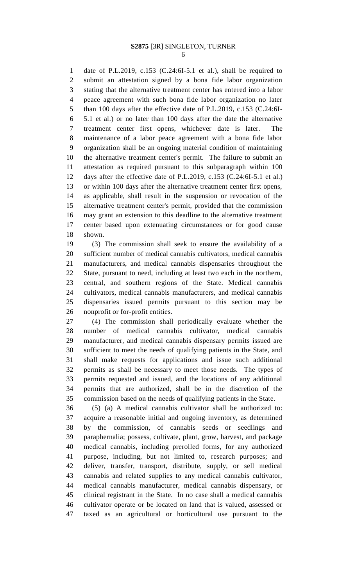date of P.L.2019, c.153 (C.24:6I-5.1 et al.), shall be required to submit an attestation signed by a bona fide labor organization stating that the alternative treatment center has entered into a labor peace agreement with such bona fide labor organization no later than 100 days after the effective date of P.L.2019, c.153 (C.24:6I- 5.1 et al.) or no later than 100 days after the date the alternative treatment center first opens, whichever date is later. The maintenance of a labor peace agreement with a bona fide labor organization shall be an ongoing material condition of maintaining the alternative treatment center's permit. The failure to submit an attestation as required pursuant to this subparagraph within 100 days after the effective date of P.L.2019, c.153 (C.24:6I-5.1 et al.) or within 100 days after the alternative treatment center first opens, as applicable, shall result in the suspension or revocation of the alternative treatment center's permit, provided that the commission may grant an extension to this deadline to the alternative treatment center based upon extenuating circumstances or for good cause shown.

 (3) The commission shall seek to ensure the availability of a sufficient number of medical cannabis cultivators, medical cannabis manufacturers, and medical cannabis dispensaries throughout the State, pursuant to need, including at least two each in the northern, central, and southern regions of the State. Medical cannabis cultivators, medical cannabis manufacturers, and medical cannabis dispensaries issued permits pursuant to this section may be nonprofit or for-profit entities.

 (4) The commission shall periodically evaluate whether the number of medical cannabis cultivator, medical cannabis manufacturer, and medical cannabis dispensary permits issued are sufficient to meet the needs of qualifying patients in the State, and shall make requests for applications and issue such additional permits as shall be necessary to meet those needs. The types of permits requested and issued, and the locations of any additional permits that are authorized, shall be in the discretion of the commission based on the needs of qualifying patients in the State.

 (5) (a) A medical cannabis cultivator shall be authorized to: acquire a reasonable initial and ongoing inventory, as determined by the commission, of cannabis seeds or seedlings and paraphernalia; possess, cultivate, plant, grow, harvest, and package medical cannabis, including prerolled forms, for any authorized purpose, including, but not limited to, research purposes; and deliver, transfer, transport, distribute, supply, or sell medical cannabis and related supplies to any medical cannabis cultivator, medical cannabis manufacturer, medical cannabis dispensary, or clinical registrant in the State. In no case shall a medical cannabis cultivator operate or be located on land that is valued, assessed or taxed as an agricultural or horticultural use pursuant to the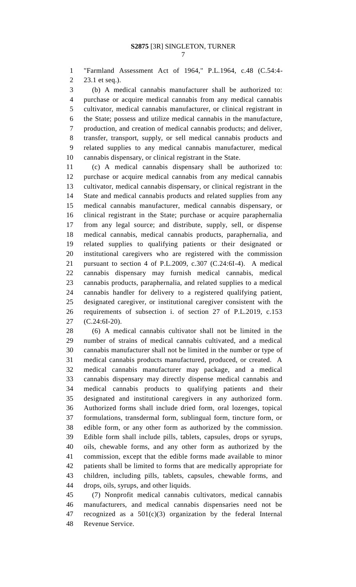"Farmland Assessment Act of 1964," P.L.1964, c.48 (C.54:4- 23.1 et seq.).

 (b) A medical cannabis manufacturer shall be authorized to: purchase or acquire medical cannabis from any medical cannabis cultivator, medical cannabis manufacturer, or clinical registrant in the State; possess and utilize medical cannabis in the manufacture, production, and creation of medical cannabis products; and deliver, transfer, transport, supply, or sell medical cannabis products and related supplies to any medical cannabis manufacturer, medical cannabis dispensary, or clinical registrant in the State.

 (c) A medical cannabis dispensary shall be authorized to: purchase or acquire medical cannabis from any medical cannabis cultivator, medical cannabis dispensary, or clinical registrant in the State and medical cannabis products and related supplies from any medical cannabis manufacturer, medical cannabis dispensary, or clinical registrant in the State; purchase or acquire paraphernalia from any legal source; and distribute, supply, sell, or dispense medical cannabis, medical cannabis products, paraphernalia, and related supplies to qualifying patients or their designated or institutional caregivers who are registered with the commission pursuant to section 4 of P.L.2009, c.307 (C.24:6I-4). A medical cannabis dispensary may furnish medical cannabis, medical cannabis products, paraphernalia, and related supplies to a medical cannabis handler for delivery to a registered qualifying patient, designated caregiver, or institutional caregiver consistent with the requirements of subsection i. of section 27 of P.L.2019, c.153 (C.24:6I-20).

 (6) A medical cannabis cultivator shall not be limited in the number of strains of medical cannabis cultivated, and a medical cannabis manufacturer shall not be limited in the number or type of medical cannabis products manufactured, produced, or created. A medical cannabis manufacturer may package, and a medical cannabis dispensary may directly dispense medical cannabis and medical cannabis products to qualifying patients and their designated and institutional caregivers in any authorized form. Authorized forms shall include dried form, oral lozenges, topical formulations, transdermal form, sublingual form, tincture form, or edible form, or any other form as authorized by the commission. Edible form shall include pills, tablets, capsules, drops or syrups, oils, chewable forms, and any other form as authorized by the commission, except that the edible forms made available to minor patients shall be limited to forms that are medically appropriate for children, including pills, tablets, capsules, chewable forms, and drops, oils, syrups, and other liquids.

 (7) Nonprofit medical cannabis cultivators, medical cannabis manufacturers, and medical cannabis dispensaries need not be recognized as a 501(c)(3) organization by the federal Internal Revenue Service.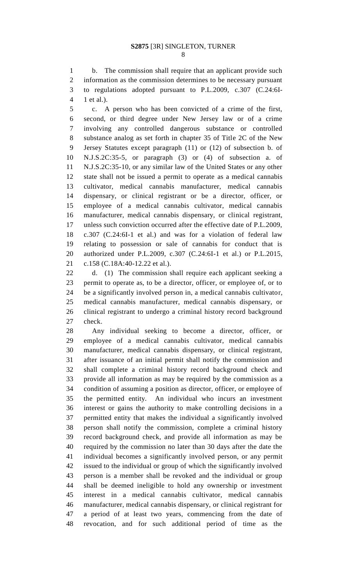b. The commission shall require that an applicant provide such information as the commission determines to be necessary pursuant to regulations adopted pursuant to P.L.2009, c.307 (C.24:6I-1 et al.).

 c. A person who has been convicted of a crime of the first, second, or third degree under New Jersey law or of a crime involving any controlled dangerous substance or controlled substance analog as set forth in chapter 35 of Title 2C of the New Jersey Statutes except paragraph (11) or (12) of subsection b. of N.J.S.2C:35-5, or paragraph (3) or (4) of subsection a. of N.J.S.2C:35-10, or any similar law of the United States or any other state shall not be issued a permit to operate as a medical cannabis cultivator, medical cannabis manufacturer, medical cannabis dispensary, or clinical registrant or be a director, officer, or employee of a medical cannabis cultivator, medical cannabis manufacturer, medical cannabis dispensary, or clinical registrant, unless such conviction occurred after the effective date of P.L.2009, c.307 (C.24:6I-1 et al.) and was for a violation of federal law relating to possession or sale of cannabis for conduct that is authorized under P.L.2009, c.307 (C.24:6I-1 et al.) or P.L.2015, c.158 (C.18A:40-12.22 et al.).

 d. (1) The commission shall require each applicant seeking a permit to operate as, to be a director, officer, or employee of, or to be a significantly involved person in, a medical cannabis cultivator, medical cannabis manufacturer, medical cannabis dispensary, or clinical registrant to undergo a criminal history record background check.

 Any individual seeking to become a director, officer, or employee of a medical cannabis cultivator, medical cannabis manufacturer, medical cannabis dispensary, or clinical registrant, after issuance of an initial permit shall notify the commission and shall complete a criminal history record background check and provide all information as may be required by the commission as a condition of assuming a position as director, officer, or employee of the permitted entity. An individual who incurs an investment interest or gains the authority to make controlling decisions in a permitted entity that makes the individual a significantly involved person shall notify the commission, complete a criminal history record background check, and provide all information as may be required by the commission no later than 30 days after the date the individual becomes a significantly involved person, or any permit issued to the individual or group of which the significantly involved person is a member shall be revoked and the individual or group shall be deemed ineligible to hold any ownership or investment interest in a medical cannabis cultivator, medical cannabis manufacturer, medical cannabis dispensary, or clinical registrant for a period of at least two years, commencing from the date of revocation, and for such additional period of time as the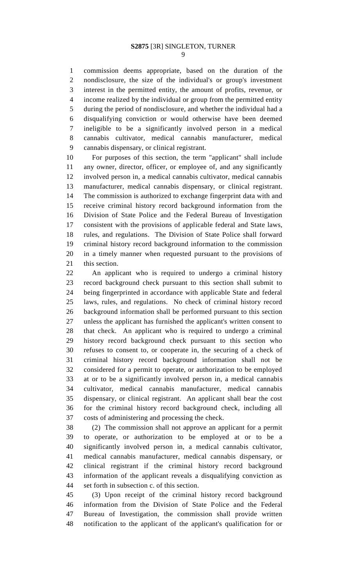commission deems appropriate, based on the duration of the nondisclosure, the size of the individual's or group's investment interest in the permitted entity, the amount of profits, revenue, or income realized by the individual or group from the permitted entity during the period of nondisclosure, and whether the individual had a disqualifying conviction or would otherwise have been deemed ineligible to be a significantly involved person in a medical cannabis cultivator, medical cannabis manufacturer, medical cannabis dispensary, or clinical registrant.

 For purposes of this section, the term "applicant" shall include any owner, director, officer, or employee of, and any significantly involved person in, a medical cannabis cultivator, medical cannabis manufacturer, medical cannabis dispensary, or clinical registrant. The commission is authorized to exchange fingerprint data with and receive criminal history record background information from the Division of State Police and the Federal Bureau of Investigation consistent with the provisions of applicable federal and State laws, rules, and regulations. The Division of State Police shall forward criminal history record background information to the commission in a timely manner when requested pursuant to the provisions of this section.

 An applicant who is required to undergo a criminal history record background check pursuant to this section shall submit to being fingerprinted in accordance with applicable State and federal laws, rules, and regulations. No check of criminal history record background information shall be performed pursuant to this section unless the applicant has furnished the applicant's written consent to that check. An applicant who is required to undergo a criminal history record background check pursuant to this section who refuses to consent to, or cooperate in, the securing of a check of criminal history record background information shall not be considered for a permit to operate, or authorization to be employed at or to be a significantly involved person in, a medical cannabis cultivator, medical cannabis manufacturer, medical cannabis dispensary, or clinical registrant. An applicant shall bear the cost for the criminal history record background check, including all costs of administering and processing the check.

 (2) The commission shall not approve an applicant for a permit to operate, or authorization to be employed at or to be a significantly involved person in, a medical cannabis cultivator, medical cannabis manufacturer, medical cannabis dispensary, or clinical registrant if the criminal history record background information of the applicant reveals a disqualifying conviction as set forth in subsection c. of this section.

 (3) Upon receipt of the criminal history record background information from the Division of State Police and the Federal Bureau of Investigation, the commission shall provide written notification to the applicant of the applicant's qualification for or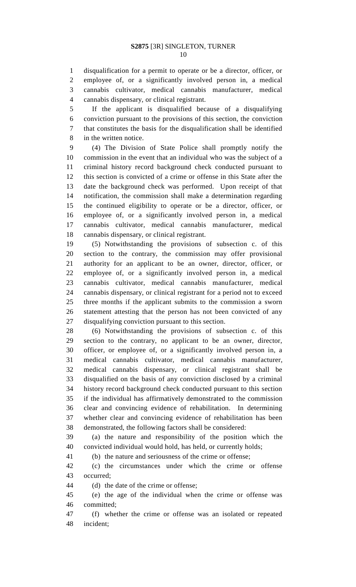disqualification for a permit to operate or be a director, officer, or employee of, or a significantly involved person in, a medical cannabis cultivator, medical cannabis manufacturer, medical cannabis dispensary, or clinical registrant.

 If the applicant is disqualified because of a disqualifying conviction pursuant to the provisions of this section, the conviction that constitutes the basis for the disqualification shall be identified in the written notice.

 (4) The Division of State Police shall promptly notify the commission in the event that an individual who was the subject of a criminal history record background check conducted pursuant to this section is convicted of a crime or offense in this State after the date the background check was performed. Upon receipt of that notification, the commission shall make a determination regarding the continued eligibility to operate or be a director, officer, or employee of, or a significantly involved person in, a medical cannabis cultivator, medical cannabis manufacturer, medical cannabis dispensary, or clinical registrant.

 (5) Notwithstanding the provisions of subsection c. of this section to the contrary, the commission may offer provisional authority for an applicant to be an owner, director, officer, or employee of, or a significantly involved person in, a medical cannabis cultivator, medical cannabis manufacturer, medical cannabis dispensary, or clinical registrant for a period not to exceed three months if the applicant submits to the commission a sworn statement attesting that the person has not been convicted of any disqualifying conviction pursuant to this section.

 (6) Notwithstanding the provisions of subsection c. of this section to the contrary, no applicant to be an owner, director, officer, or employee of, or a significantly involved person in, a medical cannabis cultivator, medical cannabis manufacturer, medical cannabis dispensary, or clinical registrant shall be disqualified on the basis of any conviction disclosed by a criminal history record background check conducted pursuant to this section if the individual has affirmatively demonstrated to the commission clear and convincing evidence of rehabilitation. In determining whether clear and convincing evidence of rehabilitation has been demonstrated, the following factors shall be considered:

 (a) the nature and responsibility of the position which the convicted individual would hold, has held, or currently holds;

(b) the nature and seriousness of the crime or offense;

 (c) the circumstances under which the crime or offense occurred;

(d) the date of the crime or offense;

 (e) the age of the individual when the crime or offense was committed;

 (f) whether the crime or offense was an isolated or repeated incident;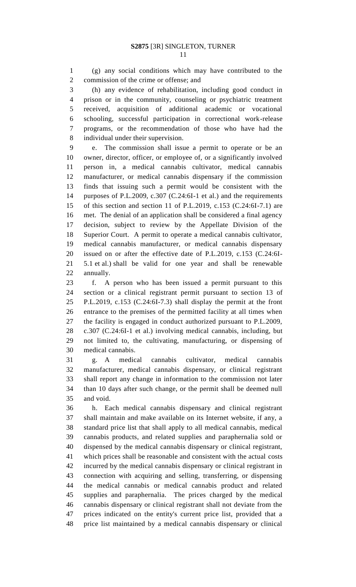(g) any social conditions which may have contributed to the commission of the crime or offense; and

 (h) any evidence of rehabilitation, including good conduct in prison or in the community, counseling or psychiatric treatment received, acquisition of additional academic or vocational schooling, successful participation in correctional work-release programs, or the recommendation of those who have had the individual under their supervision.

 e. The commission shall issue a permit to operate or be an owner, director, officer, or employee of, or a significantly involved person in, a medical cannabis cultivator, medical cannabis manufacturer, or medical cannabis dispensary if the commission finds that issuing such a permit would be consistent with the purposes of P.L.2009, c.307 (C.24:6I-1 et al.) and the requirements of this section and section 11 of P.L.2019, c.153 (C.24:6I-7.1) are met. The denial of an application shall be considered a final agency decision, subject to review by the Appellate Division of the Superior Court. A permit to operate a medical cannabis cultivator, medical cannabis manufacturer, or medical cannabis dispensary issued on or after the effective date of P.L.2019, c.153 (C.24:6I- 5.1 et al.) shall be valid for one year and shall be renewable annually.

 f. A person who has been issued a permit pursuant to this section or a clinical registrant permit pursuant to section 13 of P.L.2019, c.153 (C.24:6I-7.3) shall display the permit at the front entrance to the premises of the permitted facility at all times when the facility is engaged in conduct authorized pursuant to P.L.2009, c.307 (C.24:6I-1 et al.) involving medical cannabis, including, but not limited to, the cultivating, manufacturing, or dispensing of medical cannabis.

 g. A medical cannabis cultivator, medical cannabis manufacturer, medical cannabis dispensary, or clinical registrant shall report any change in information to the commission not later than 10 days after such change, or the permit shall be deemed null and void.

 h. Each medical cannabis dispensary and clinical registrant shall maintain and make available on its Internet website, if any, a standard price list that shall apply to all medical cannabis, medical cannabis products, and related supplies and paraphernalia sold or dispensed by the medical cannabis dispensary or clinical registrant, which prices shall be reasonable and consistent with the actual costs incurred by the medical cannabis dispensary or clinical registrant in connection with acquiring and selling, transferring, or dispensing the medical cannabis or medical cannabis product and related supplies and paraphernalia. The prices charged by the medical cannabis dispensary or clinical registrant shall not deviate from the prices indicated on the entity's current price list, provided that a price list maintained by a medical cannabis dispensary or clinical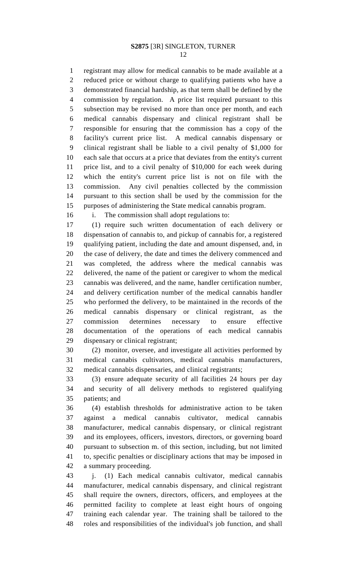registrant may allow for medical cannabis to be made available at a reduced price or without charge to qualifying patients who have a demonstrated financial hardship, as that term shall be defined by the commission by regulation. A price list required pursuant to this subsection may be revised no more than once per month, and each medical cannabis dispensary and clinical registrant shall be responsible for ensuring that the commission has a copy of the facility's current price list. A medical cannabis dispensary or clinical registrant shall be liable to a civil penalty of \$1,000 for each sale that occurs at a price that deviates from the entity's current price list, and to a civil penalty of \$10,000 for each week during which the entity's current price list is not on file with the commission. Any civil penalties collected by the commission pursuant to this section shall be used by the commission for the purposes of administering the State medical cannabis program.

i. The commission shall adopt regulations to:

 (1) require such written documentation of each delivery or dispensation of cannabis to, and pickup of cannabis for, a registered qualifying patient, including the date and amount dispensed, and, in the case of delivery, the date and times the delivery commenced and was completed, the address where the medical cannabis was delivered, the name of the patient or caregiver to whom the medical cannabis was delivered, and the name, handler certification number, and delivery certification number of the medical cannabis handler who performed the delivery, to be maintained in the records of the medical cannabis dispensary or clinical registrant, as the commission determines necessary to ensure effective documentation of the operations of each medical cannabis dispensary or clinical registrant;

 (2) monitor, oversee, and investigate all activities performed by medical cannabis cultivators, medical cannabis manufacturers, medical cannabis dispensaries, and clinical registrants;

 (3) ensure adequate security of all facilities 24 hours per day and security of all delivery methods to registered qualifying patients; and

 (4) establish thresholds for administrative action to be taken against a medical cannabis cultivator, medical cannabis manufacturer, medical cannabis dispensary, or clinical registrant and its employees, officers, investors, directors, or governing board pursuant to subsection m. of this section, including, but not limited to, specific penalties or disciplinary actions that may be imposed in a summary proceeding.

 j. (1) Each medical cannabis cultivator, medical cannabis manufacturer, medical cannabis dispensary, and clinical registrant shall require the owners, directors, officers, and employees at the permitted facility to complete at least eight hours of ongoing training each calendar year. The training shall be tailored to the roles and responsibilities of the individual's job function, and shall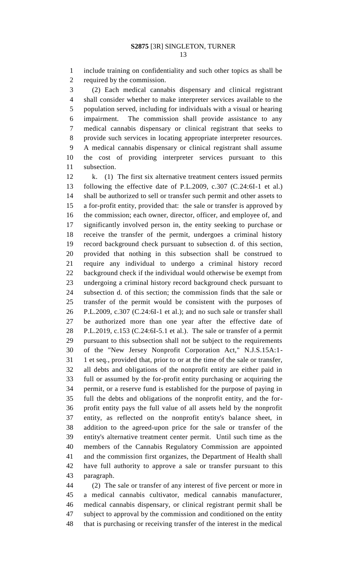include training on confidentiality and such other topics as shall be required by the commission.

 (2) Each medical cannabis dispensary and clinical registrant shall consider whether to make interpreter services available to the population served, including for individuals with a visual or hearing impairment. The commission shall provide assistance to any medical cannabis dispensary or clinical registrant that seeks to provide such services in locating appropriate interpreter resources. A medical cannabis dispensary or clinical registrant shall assume the cost of providing interpreter services pursuant to this subsection.

 k. (1) The first six alternative treatment centers issued permits following the effective date of P.L.2009, c.307 (C.24:6I-1 et al.) shall be authorized to sell or transfer such permit and other assets to a for-profit entity, provided that: the sale or transfer is approved by the commission; each owner, director, officer, and employee of, and significantly involved person in, the entity seeking to purchase or receive the transfer of the permit, undergoes a criminal history record background check pursuant to subsection d. of this section, provided that nothing in this subsection shall be construed to require any individual to undergo a criminal history record background check if the individual would otherwise be exempt from undergoing a criminal history record background check pursuant to subsection d. of this section; the commission finds that the sale or transfer of the permit would be consistent with the purposes of P.L.2009, c.307 (C.24:6I-1 et al.); and no such sale or transfer shall be authorized more than one year after the effective date of P.L.2019, c.153 (C.24:6I-5.1 et al.). The sale or transfer of a permit pursuant to this subsection shall not be subject to the requirements of the "New Jersey Nonprofit Corporation Act," N.J.S.15A:1- 1 et seq., provided that, prior to or at the time of the sale or transfer, all debts and obligations of the nonprofit entity are either paid in full or assumed by the for-profit entity purchasing or acquiring the permit, or a reserve fund is established for the purpose of paying in full the debts and obligations of the nonprofit entity, and the for- profit entity pays the full value of all assets held by the nonprofit entity, as reflected on the nonprofit entity's balance sheet, in addition to the agreed-upon price for the sale or transfer of the entity's alternative treatment center permit. Until such time as the members of the Cannabis Regulatory Commission are appointed and the commission first organizes, the Department of Health shall have full authority to approve a sale or transfer pursuant to this paragraph.

 (2) The sale or transfer of any interest of five percent or more in a medical cannabis cultivator, medical cannabis manufacturer, medical cannabis dispensary, or clinical registrant permit shall be subject to approval by the commission and conditioned on the entity that is purchasing or receiving transfer of the interest in the medical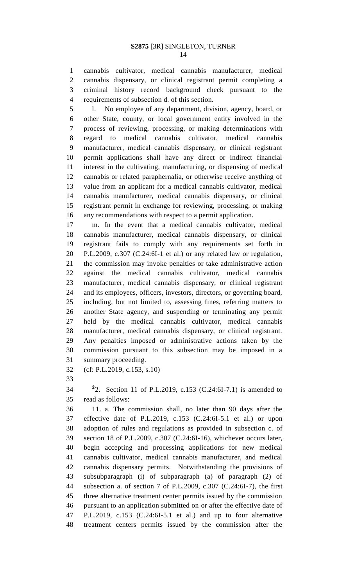cannabis cultivator, medical cannabis manufacturer, medical cannabis dispensary, or clinical registrant permit completing a criminal history record background check pursuant to the requirements of subsection d. of this section.

 l. No employee of any department, division, agency, board, or other State, county, or local government entity involved in the process of reviewing, processing, or making determinations with regard to medical cannabis cultivator, medical cannabis manufacturer, medical cannabis dispensary, or clinical registrant permit applications shall have any direct or indirect financial interest in the cultivating, manufacturing, or dispensing of medical cannabis or related paraphernalia, or otherwise receive anything of value from an applicant for a medical cannabis cultivator, medical cannabis manufacturer, medical cannabis dispensary, or clinical registrant permit in exchange for reviewing, processing, or making any recommendations with respect to a permit application.

 m. In the event that a medical cannabis cultivator, medical cannabis manufacturer, medical cannabis dispensary, or clinical registrant fails to comply with any requirements set forth in P.L.2009, c.307 (C.24:6I-1 et al.) or any related law or regulation, the commission may invoke penalties or take administrative action against the medical cannabis cultivator, medical cannabis manufacturer, medical cannabis dispensary, or clinical registrant and its employees, officers, investors, directors, or governing board, including, but not limited to, assessing fines, referring matters to another State agency, and suspending or terminating any permit held by the medical cannabis cultivator, medical cannabis manufacturer, medical cannabis dispensary, or clinical registrant. Any penalties imposed or administrative actions taken by the commission pursuant to this subsection may be imposed in a summary proceeding.

(cf: P.L.2019, c.153, s.10)

**2** 2. Section 11 of P.L.2019, c.153 (C.24:6I-7.1) is amended to read as follows:

 11. a. The commission shall, no later than 90 days after the effective date of P.L.2019, c.153 (C.24:6I-5.1 et al.) or upon adoption of rules and regulations as provided in subsection c. of section 18 of P.L.2009, c.307 (C.24:6I-16), whichever occurs later, begin accepting and processing applications for new medical cannabis cultivator, medical cannabis manufacturer, and medical cannabis dispensary permits. Notwithstanding the provisions of subsubparagraph (i) of subparagraph (a) of paragraph (2) of subsection a. of section 7 of P.L.2009, c.307 (C.24:6I-7), the first three alternative treatment center permits issued by the commission pursuant to an application submitted on or after the effective date of P.L.2019, c.153 (C.24:6I-5.1 et al.) and up to four alternative treatment centers permits issued by the commission after the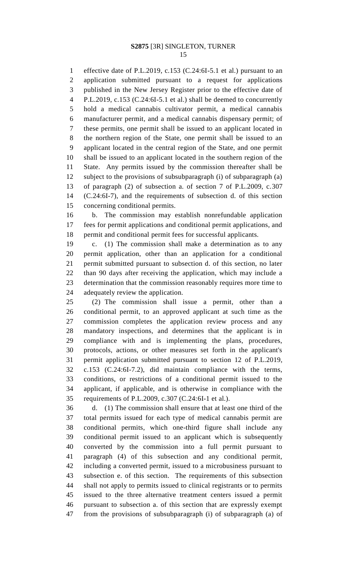effective date of P.L.2019, c.153 (C.24:6I-5.1 et al.) pursuant to an application submitted pursuant to a request for applications published in the New Jersey Register prior to the effective date of P.L.2019, c.153 (C.24:6I-5.1 et al.) shall be deemed to concurrently hold a medical cannabis cultivator permit, a medical cannabis manufacturer permit, and a medical cannabis dispensary permit; of these permits, one permit shall be issued to an applicant located in the northern region of the State, one permit shall be issued to an applicant located in the central region of the State, and one permit shall be issued to an applicant located in the southern region of the State. Any permits issued by the commission thereafter shall be subject to the provisions of subsubparagraph (i) of subparagraph (a) of paragraph (2) of subsection a. of section 7 of P.L.2009, c.307 (C.24:6I-7), and the requirements of subsection d. of this section concerning conditional permits.

 b. The commission may establish nonrefundable application fees for permit applications and conditional permit applications, and permit and conditional permit fees for successful applicants.

 c. (1) The commission shall make a determination as to any permit application, other than an application for a conditional permit submitted pursuant to subsection d. of this section, no later than 90 days after receiving the application, which may include a determination that the commission reasonably requires more time to adequately review the application.

 (2) The commission shall issue a permit, other than a conditional permit, to an approved applicant at such time as the commission completes the application review process and any mandatory inspections, and determines that the applicant is in compliance with and is implementing the plans, procedures, protocols, actions, or other measures set forth in the applicant's permit application submitted pursuant to section 12 of P.L.2019, c.153 (C.24:6I-7.2), did maintain compliance with the terms, conditions, or restrictions of a conditional permit issued to the applicant, if applicable, and is otherwise in compliance with the requirements of P.L.2009, c.307 (C.24:6I-1 et al.).

 d. (1) The commission shall ensure that at least one third of the total permits issued for each type of medical cannabis permit are conditional permits, which one-third figure shall include any conditional permit issued to an applicant which is subsequently converted by the commission into a full permit pursuant to paragraph (4) of this subsection and any conditional permit, including a converted permit, issued to a microbusiness pursuant to subsection e. of this section. The requirements of this subsection shall not apply to permits issued to clinical registrants or to permits issued to the three alternative treatment centers issued a permit pursuant to subsection a. of this section that are expressly exempt from the provisions of subsubparagraph (i) of subparagraph (a) of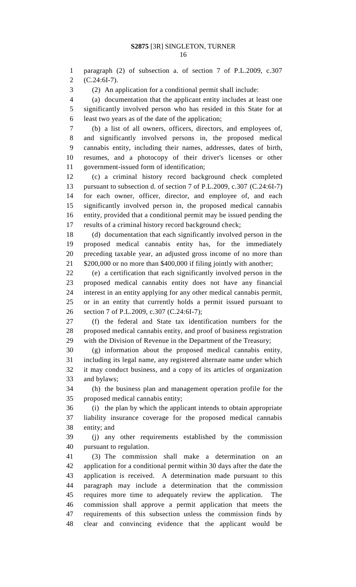paragraph (2) of subsection a. of section 7 of P.L.2009, c.307 (C.24:6I-7).

(2) An application for a conditional permit shall include:

 (a) documentation that the applicant entity includes at least one significantly involved person who has resided in this State for at least two years as of the date of the application;

 (b) a list of all owners, officers, directors, and employees of, and significantly involved persons in, the proposed medical cannabis entity, including their names, addresses, dates of birth, resumes, and a photocopy of their driver's licenses or other government-issued form of identification;

 (c) a criminal history record background check completed pursuant to subsection d. of section 7 of P.L.2009, c.307 (C.24:6I-7) for each owner, officer, director, and employee of, and each significantly involved person in, the proposed medical cannabis entity, provided that a conditional permit may be issued pending the results of a criminal history record background check;

 (d) documentation that each significantly involved person in the proposed medical cannabis entity has, for the immediately preceding taxable year, an adjusted gross income of no more than 21 \$200,000 or no more than \$400,000 if filing jointly with another;

 (e) a certification that each significantly involved person in the proposed medical cannabis entity does not have any financial interest in an entity applying for any other medical cannabis permit, or in an entity that currently holds a permit issued pursuant to section 7 of P.L.2009, c.307 (C.24:6I-7);

 (f) the federal and State tax identification numbers for the proposed medical cannabis entity, and proof of business registration with the Division of Revenue in the Department of the Treasury;

 (g) information about the proposed medical cannabis entity, including its legal name, any registered alternate name under which it may conduct business, and a copy of its articles of organization and bylaws;

 (h) the business plan and management operation profile for the proposed medical cannabis entity;

 (i) the plan by which the applicant intends to obtain appropriate liability insurance coverage for the proposed medical cannabis entity; and

 (j) any other requirements established by the commission pursuant to regulation.

 (3) The commission shall make a determination on an application for a conditional permit within 30 days after the date the application is received. A determination made pursuant to this paragraph may include a determination that the commission requires more time to adequately review the application. The commission shall approve a permit application that meets the requirements of this subsection unless the commission finds by clear and convincing evidence that the applicant would be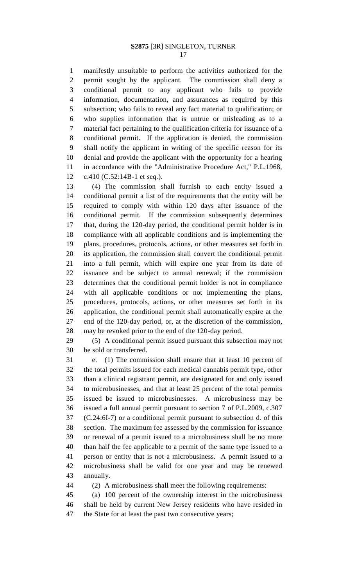manifestly unsuitable to perform the activities authorized for the permit sought by the applicant. The commission shall deny a conditional permit to any applicant who fails to provide information, documentation, and assurances as required by this subsection; who fails to reveal any fact material to qualification; or who supplies information that is untrue or misleading as to a material fact pertaining to the qualification criteria for issuance of a conditional permit. If the application is denied, the commission shall notify the applicant in writing of the specific reason for its denial and provide the applicant with the opportunity for a hearing in accordance with the "Administrative Procedure Act," P.L.1968, c.410 (C.52:14B-1 et seq.).

 (4) The commission shall furnish to each entity issued a conditional permit a list of the requirements that the entity will be required to comply with within 120 days after issuance of the conditional permit. If the commission subsequently determines that, during the 120-day period, the conditional permit holder is in compliance with all applicable conditions and is implementing the plans, procedures, protocols, actions, or other measures set forth in its application, the commission shall convert the conditional permit into a full permit, which will expire one year from its date of issuance and be subject to annual renewal; if the commission determines that the conditional permit holder is not in compliance with all applicable conditions or not implementing the plans, procedures, protocols, actions, or other measures set forth in its application, the conditional permit shall automatically expire at the end of the 120-day period, or, at the discretion of the commission, may be revoked prior to the end of the 120-day period.

 (5) A conditional permit issued pursuant this subsection may not be sold or transferred.

 e. (1) The commission shall ensure that at least 10 percent of the total permits issued for each medical cannabis permit type, other than a clinical registrant permit, are designated for and only issued to microbusinesses, and that at least 25 percent of the total permits issued be issued to microbusinesses. A microbusiness may be issued a full annual permit pursuant to section 7 of P.L.2009, c.307 (C.24:6I-7) or a conditional permit pursuant to subsection d. of this section. The maximum fee assessed by the commission for issuance or renewal of a permit issued to a microbusiness shall be no more than half the fee applicable to a permit of the same type issued to a person or entity that is not a microbusiness. A permit issued to a microbusiness shall be valid for one year and may be renewed annually.

(2) A microbusiness shall meet the following requirements:

 (a) 100 percent of the ownership interest in the microbusiness shall be held by current New Jersey residents who have resided in the State for at least the past two consecutive years;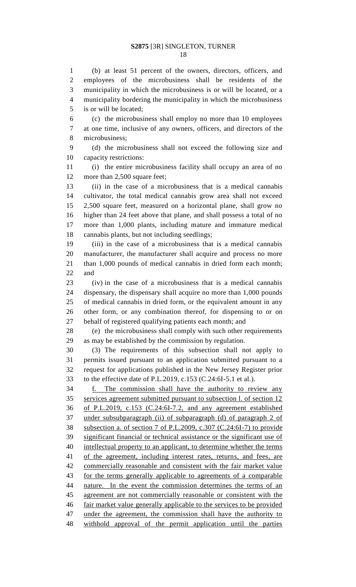(b) at least 51 percent of the owners, directors, officers, and employees of the microbusiness shall be residents of the municipality in which the microbusiness is or will be located, or a municipality bordering the municipality in which the microbusiness is or will be located;

 (c) the microbusiness shall employ no more than 10 employees at one time, inclusive of any owners, officers, and directors of the microbusiness;

 (d) the microbusiness shall not exceed the following size and capacity restrictions:

 (i) the entire microbusiness facility shall occupy an area of no 12 more than 2,500 square feet;

 (ii) in the case of a microbusiness that is a medical cannabis cultivator, the total medical cannabis grow area shall not exceed 2,500 square feet, measured on a horizontal plane, shall grow no higher than 24 feet above that plane, and shall possess a total of no more than 1,000 plants, including mature and immature medical cannabis plants, but not including seedlings;

 (iii) in the case of a microbusiness that is a medical cannabis manufacturer, the manufacturer shall acquire and process no more than 1,000 pounds of medical cannabis in dried form each month; and

 (iv) in the case of a microbusiness that is a medical cannabis dispensary, the dispensary shall acquire no more than 1,000 pounds of medical cannabis in dried form, or the equivalent amount in any other form, or any combination thereof, for dispensing to or on behalf of registered qualifying patients each month; and

 (e) the microbusiness shall comply with such other requirements as may be established by the commission by regulation.

 (3) The requirements of this subsection shall not apply to permits issued pursuant to an application submitted pursuant to a request for applications published in the New Jersey Register prior to the effective date of P.L.2019, c.153 (C.24:6I-5.1 et al.).

 f. The commission shall have the authority to review any services agreement submitted pursuant to subsection l. of section 12 of P.L.2019, c.153 (C.24:6I-7.2, and any agreement established under subsubparagraph (ii) of subparagraph (d) of paragraph 2 of subsection a. of section 7 of P.L.2009, c.307 (C.24:6I-7) to provide significant financial or technical assistance or the significant use of intellectual property to an applicant, to determine whether the terms 41 of the agreement, including interest rates, returns, and fees, are commercially reasonable and consistent with the fair market value for the terms generally applicable to agreements of a comparable nature. In the event the commission determines the terms of an agreement are not commercially reasonable or consistent with the fair market value generally applicable to the services to be provided 47 under the agreement, the commission shall have the authority to withhold approval of the permit application until the parties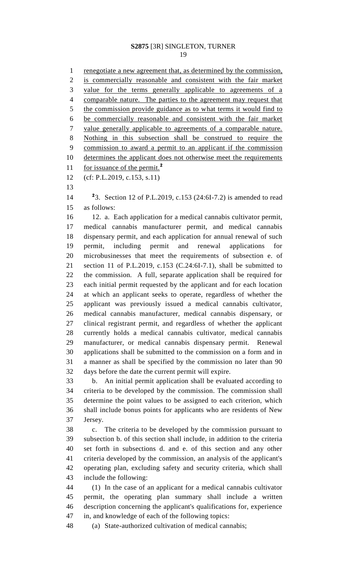renegotiate a new agreement that, as determined by the commission, is commercially reasonable and consistent with the fair market value for the terms generally applicable to agreements of a comparable nature. The parties to the agreement may request that the commission provide guidance as to what terms it would find to be commercially reasonable and consistent with the fair market value generally applicable to agreements of a comparable nature. Nothing in this subsection shall be construed to require the commission to award a permit to an applicant if the commission determines the applicant does not otherwise meet the requirements for issuance of the permit.**<sup>2</sup>** (cf: P.L.2019, c.153, s.11) 14 <sup>2</sup>3. Section 12 of P.L.2019, c.153 (24:6I-7.2) is amended to read as follows: 12. a. Each application for a medical cannabis cultivator permit, medical cannabis manufacturer permit, and medical cannabis dispensary permit, and each application for annual renewal of such permit, including permit and renewal applications for microbusinesses that meet the requirements of subsection e. of section 11 of P.L.2019, c.153 (C.24:6I-7.1), shall be submitted to the commission. A full, separate application shall be required for each initial permit requested by the applicant and for each location at which an applicant seeks to operate, regardless of whether the applicant was previously issued a medical cannabis cultivator, medical cannabis manufacturer, medical cannabis dispensary, or clinical registrant permit, and regardless of whether the applicant currently holds a medical cannabis cultivator, medical cannabis manufacturer, or medical cannabis dispensary permit. Renewal applications shall be submitted to the commission on a form and in a manner as shall be specified by the commission no later than 90 days before the date the current permit will expire. b. An initial permit application shall be evaluated according to criteria to be developed by the commission. The commission shall determine the point values to be assigned to each criterion, which shall include bonus points for applicants who are residents of New Jersey. c. The criteria to be developed by the commission pursuant to subsection b. of this section shall include, in addition to the criteria set forth in subsections d. and e. of this section and any other criteria developed by the commission, an analysis of the applicant's operating plan, excluding safety and security criteria, which shall include the following: (1) In the case of an applicant for a medical cannabis cultivator permit, the operating plan summary shall include a written description concerning the applicant's qualifications for, experience in, and knowledge of each of the following topics: (a) State-authorized cultivation of medical cannabis;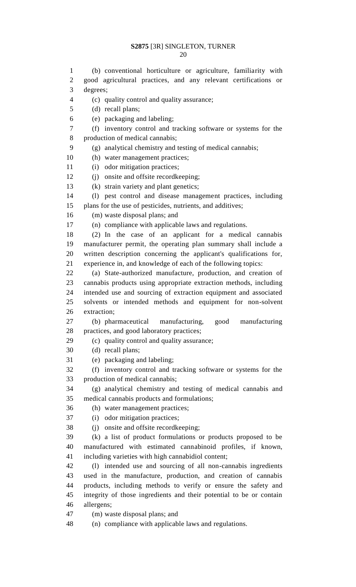(b) conventional horticulture or agriculture, familiarity with good agricultural practices, and any relevant certifications or

 (c) quality control and quality assurance; (d) recall plans; (e) packaging and labeling; (f) inventory control and tracking software or systems for the production of medical cannabis; (g) analytical chemistry and testing of medical cannabis; (h) water management practices; 11 (i) odor mitigation practices; (j) onsite and offsite recordkeeping; (k) strain variety and plant genetics; (l) pest control and disease management practices, including plans for the use of pesticides, nutrients, and additives; (m) waste disposal plans; and (n) compliance with applicable laws and regulations. (2) In the case of an applicant for a medical cannabis manufacturer permit, the operating plan summary shall include a written description concerning the applicant's qualifications for, experience in, and knowledge of each of the following topics: (a) State-authorized manufacture, production, and creation of cannabis products using appropriate extraction methods, including intended use and sourcing of extraction equipment and associated solvents or intended methods and equipment for non-solvent extraction; (b) pharmaceutical manufacturing, good manufacturing practices, and good laboratory practices; (c) quality control and quality assurance; (d) recall plans; (e) packaging and labeling; (f) inventory control and tracking software or systems for the production of medical cannabis; (g) analytical chemistry and testing of medical cannabis and medical cannabis products and formulations; (h) water management practices; (i) odor mitigation practices; (j) onsite and offsite recordkeeping; (k) a list of product formulations or products proposed to be manufactured with estimated cannabinoid profiles, if known, including varieties with high cannabidiol content; (l) intended use and sourcing of all non-cannabis ingredients used in the manufacture, production, and creation of cannabis products, including methods to verify or ensure the safety and integrity of those ingredients and their potential to be or contain

allergens;

degrees;

(m) waste disposal plans; and

(n) compliance with applicable laws and regulations.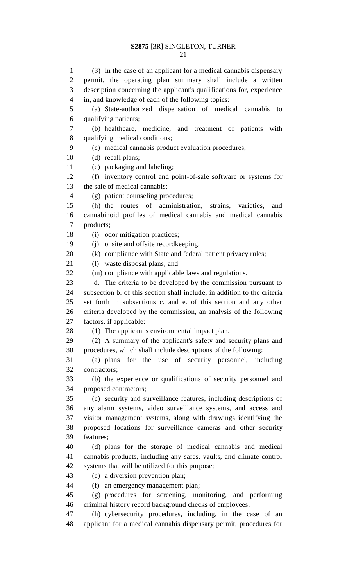(3) In the case of an applicant for a medical cannabis dispensary permit, the operating plan summary shall include a written description concerning the applicant's qualifications for, experience in, and knowledge of each of the following topics: (a) State-authorized dispensation of medical cannabis to qualifying patients; (b) healthcare, medicine, and treatment of patients with qualifying medical conditions; (c) medical cannabis product evaluation procedures; (d) recall plans; (e) packaging and labeling; (f) inventory control and point-of-sale software or systems for the sale of medical cannabis; (g) patient counseling procedures; (h) the routes of administration, strains, varieties, and

 cannabinoid profiles of medical cannabis and medical cannabis products;

18 (i) odor mitigation practices;

(j) onsite and offsite recordkeeping;

20 (k) compliance with State and federal patient privacy rules;

(l) waste disposal plans; and

(m) compliance with applicable laws and regulations.

 d. The criteria to be developed by the commission pursuant to subsection b. of this section shall include, in addition to the criteria set forth in subsections c. and e. of this section and any other criteria developed by the commission, an analysis of the following factors, if applicable:

28 (1) The applicant's environmental impact plan.

 (2) A summary of the applicant's safety and security plans and procedures, which shall include descriptions of the following:

 (a) plans for the use of security personnel, including contractors;

 (b) the experience or qualifications of security personnel and proposed contractors;

 (c) security and surveillance features, including descriptions of any alarm systems, video surveillance systems, and access and visitor management systems, along with drawings identifying the proposed locations for surveillance cameras and other security features;

 (d) plans for the storage of medical cannabis and medical cannabis products, including any safes, vaults, and climate control systems that will be utilized for this purpose;

(e) a diversion prevention plan;

(f) an emergency management plan;

 (g) procedures for screening, monitoring, and performing criminal history record background checks of employees;

 (h) cybersecurity procedures, including, in the case of an applicant for a medical cannabis dispensary permit, procedures for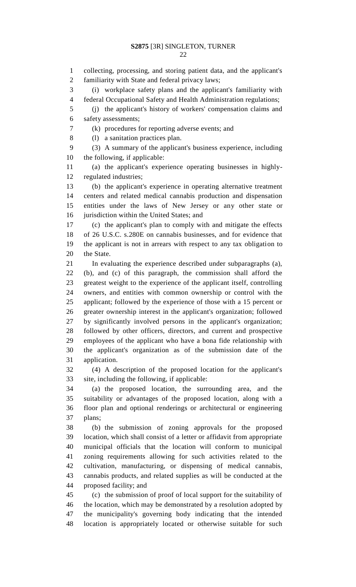collecting, processing, and storing patient data, and the applicant's familiarity with State and federal privacy laws; (i) workplace safety plans and the applicant's familiarity with federal Occupational Safety and Health Administration regulations; (j) the applicant's history of workers' compensation claims and safety assessments; (k) procedures for reporting adverse events; and (l) a sanitation practices plan. (3) A summary of the applicant's business experience, including the following, if applicable: (a) the applicant's experience operating businesses in highly- regulated industries; (b) the applicant's experience in operating alternative treatment centers and related medical cannabis production and dispensation entities under the laws of New Jersey or any other state or jurisdiction within the United States; and (c) the applicant's plan to comply with and mitigate the effects of 26 U.S.C. s.280E on cannabis businesses, and for evidence that the applicant is not in arrears with respect to any tax obligation to the State. In evaluating the experience described under subparagraphs (a), (b), and (c) of this paragraph, the commission shall afford the greatest weight to the experience of the applicant itself, controlling owners, and entities with common ownership or control with the applicant; followed by the experience of those with a 15 percent or greater ownership interest in the applicant's organization; followed by significantly involved persons in the applicant's organization; followed by other officers, directors, and current and prospective employees of the applicant who have a bona fide relationship with the applicant's organization as of the submission date of the application. (4) A description of the proposed location for the applicant's site, including the following, if applicable: (a) the proposed location, the surrounding area, and the suitability or advantages of the proposed location, along with a floor plan and optional renderings or architectural or engineering plans; (b) the submission of zoning approvals for the proposed location, which shall consist of a letter or affidavit from appropriate municipal officials that the location will conform to municipal zoning requirements allowing for such activities related to the cultivation, manufacturing, or dispensing of medical cannabis, cannabis products, and related supplies as will be conducted at the proposed facility; and (c) the submission of proof of local support for the suitability of the location, which may be demonstrated by a resolution adopted by the municipality's governing body indicating that the intended location is appropriately located or otherwise suitable for such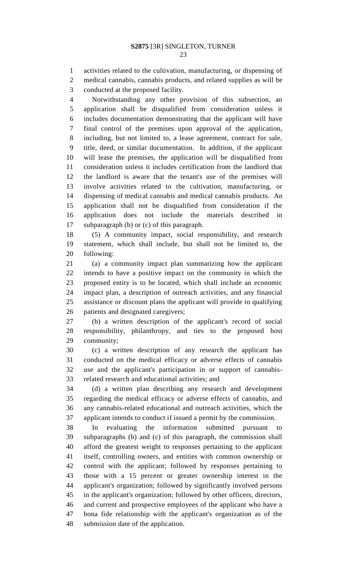activities related to the cultivation, manufacturing, or dispensing of medical cannabis, cannabis products, and related supplies as will be conducted at the proposed facility.

 Notwithstanding any other provision of this subsection, an application shall be disqualified from consideration unless it includes documentation demonstrating that the applicant will have final control of the premises upon approval of the application, including, but not limited to, a lease agreement, contract for sale, title, deed, or similar documentation. In addition, if the applicant will lease the premises, the application will be disqualified from consideration unless it includes certification from the landlord that the landlord is aware that the tenant's use of the premises will involve activities related to the cultivation, manufacturing, or dispensing of medical cannabis and medical cannabis products. An application shall not be disqualified from consideration if the application does not include the materials described in subparagraph (b) or (c) of this paragraph.

 (5) A community impact, social responsibility, and research statement, which shall include, but shall not be limited to, the following:

 (a) a community impact plan summarizing how the applicant intends to have a positive impact on the community in which the proposed entity is to be located, which shall include an economic impact plan, a description of outreach activities, and any financial assistance or discount plans the applicant will provide to qualifying patients and designated caregivers;

 (b) a written description of the applicant's record of social responsibility, philanthropy, and ties to the proposed host community;

 (c) a written description of any research the applicant has conducted on the medical efficacy or adverse effects of cannabis use and the applicant's participation in or support of cannabis-related research and educational activities; and

 (d) a written plan describing any research and development regarding the medical efficacy or adverse effects of cannabis, and any cannabis-related educational and outreach activities, which the applicant intends to conduct if issued a permit by the commission.

 In evaluating the information submitted pursuant to subparagraphs (b) and (c) of this paragraph, the commission shall afford the greatest weight to responses pertaining to the applicant itself, controlling owners, and entities with common ownership or control with the applicant; followed by responses pertaining to those with a 15 percent or greater ownership interest in the applicant's organization; followed by significantly involved persons in the applicant's organization; followed by other officers, directors, and current and prospective employees of the applicant who have a bona fide relationship with the applicant's organization as of the submission date of the application.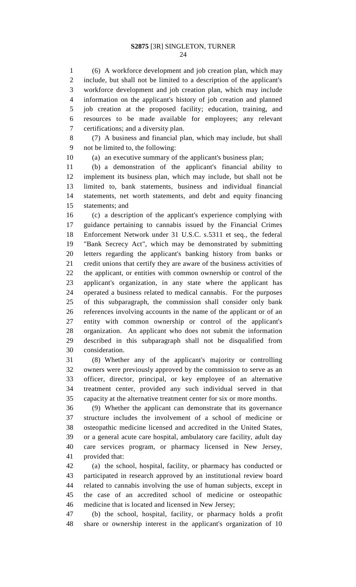(6) A workforce development and job creation plan, which may include, but shall not be limited to a description of the applicant's workforce development and job creation plan, which may include information on the applicant's history of job creation and planned job creation at the proposed facility; education, training, and resources to be made available for employees; any relevant certifications; and a diversity plan.

 (7) A business and financial plan, which may include, but shall not be limited to, the following:

(a) an executive summary of the applicant's business plan;

 (b) a demonstration of the applicant's financial ability to implement its business plan, which may include, but shall not be limited to, bank statements, business and individual financial statements, net worth statements, and debt and equity financing statements; and

 (c) a description of the applicant's experience complying with guidance pertaining to cannabis issued by the Financial Crimes Enforcement Network under 31 U.S.C. s.5311 et seq., the federal "Bank Secrecy Act", which may be demonstrated by submitting letters regarding the applicant's banking history from banks or credit unions that certify they are aware of the business activities of the applicant, or entities with common ownership or control of the applicant's organization, in any state where the applicant has operated a business related to medical cannabis. For the purposes of this subparagraph, the commission shall consider only bank references involving accounts in the name of the applicant or of an entity with common ownership or control of the applicant's organization. An applicant who does not submit the information described in this subparagraph shall not be disqualified from consideration.

 (8) Whether any of the applicant's majority or controlling owners were previously approved by the commission to serve as an officer, director, principal, or key employee of an alternative treatment center, provided any such individual served in that capacity at the alternative treatment center for six or more months.

 (9) Whether the applicant can demonstrate that its governance structure includes the involvement of a school of medicine or osteopathic medicine licensed and accredited in the United States, or a general acute care hospital, ambulatory care facility, adult day care services program, or pharmacy licensed in New Jersey, provided that:

 (a) the school, hospital, facility, or pharmacy has conducted or participated in research approved by an institutional review board related to cannabis involving the use of human subjects, except in the case of an accredited school of medicine or osteopathic medicine that is located and licensed in New Jersey;

 (b) the school, hospital, facility, or pharmacy holds a profit share or ownership interest in the applicant's organization of 10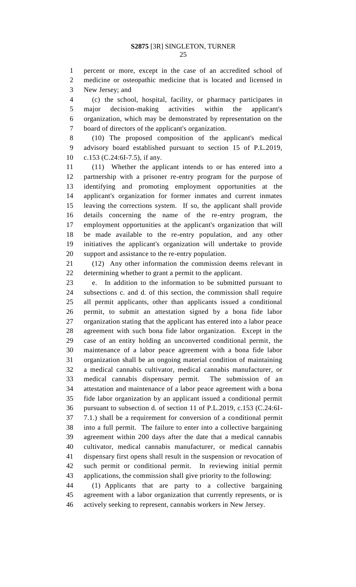percent or more, except in the case of an accredited school of medicine or osteopathic medicine that is located and licensed in New Jersey; and

 (c) the school, hospital, facility, or pharmacy participates in major decision-making activities within the applicant's organization, which may be demonstrated by representation on the board of directors of the applicant's organization.

 (10) The proposed composition of the applicant's medical advisory board established pursuant to section 15 of P.L.2019, c.153 (C.24:6I-7.5), if any.

 (11) Whether the applicant intends to or has entered into a partnership with a prisoner re-entry program for the purpose of identifying and promoting employment opportunities at the applicant's organization for former inmates and current inmates leaving the corrections system. If so, the applicant shall provide details concerning the name of the re-entry program, the employment opportunities at the applicant's organization that will be made available to the re-entry population, and any other initiatives the applicant's organization will undertake to provide support and assistance to the re-entry population.

 (12) Any other information the commission deems relevant in determining whether to grant a permit to the applicant.

 e. In addition to the information to be submitted pursuant to subsections c. and d. of this section, the commission shall require all permit applicants, other than applicants issued a conditional permit, to submit an attestation signed by a bona fide labor organization stating that the applicant has entered into a labor peace agreement with such bona fide labor organization. Except in the case of an entity holding an unconverted conditional permit, the maintenance of a labor peace agreement with a bona fide labor organization shall be an ongoing material condition of maintaining a medical cannabis cultivator, medical cannabis manufacturer, or medical cannabis dispensary permit. The submission of an attestation and maintenance of a labor peace agreement with a bona fide labor organization by an applicant issued a conditional permit pursuant to subsection d. of section 11 of P.L.2019, c.153 (C.24:6I- 7.1.) shall be a requirement for conversion of a conditional permit into a full permit. The failure to enter into a collective bargaining agreement within 200 days after the date that a medical cannabis cultivator, medical cannabis manufacturer, or medical cannabis dispensary first opens shall result in the suspension or revocation of such permit or conditional permit. In reviewing initial permit applications, the commission shall give priority to the following:

 (1) Applicants that are party to a collective bargaining agreement with a labor organization that currently represents, or is actively seeking to represent, cannabis workers in New Jersey.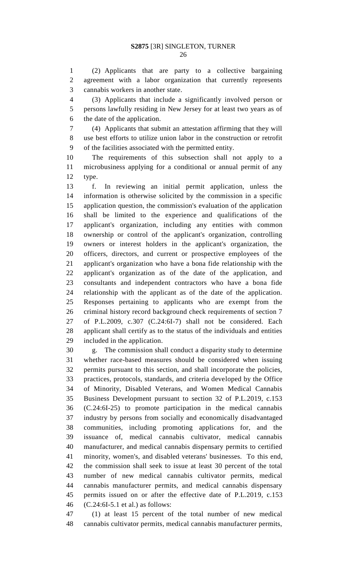(2) Applicants that are party to a collective bargaining agreement with a labor organization that currently represents cannabis workers in another state.

 (3) Applicants that include a significantly involved person or persons lawfully residing in New Jersey for at least two years as of the date of the application.

 (4) Applicants that submit an attestation affirming that they will use best efforts to utilize union labor in the construction or retrofit of the facilities associated with the permitted entity.

 The requirements of this subsection shall not apply to a microbusiness applying for a conditional or annual permit of any type.

 f. In reviewing an initial permit application, unless the information is otherwise solicited by the commission in a specific application question, the commission's evaluation of the application shall be limited to the experience and qualifications of the applicant's organization, including any entities with common ownership or control of the applicant's organization, controlling owners or interest holders in the applicant's organization, the officers, directors, and current or prospective employees of the applicant's organization who have a bona fide relationship with the applicant's organization as of the date of the application, and consultants and independent contractors who have a bona fide relationship with the applicant as of the date of the application. Responses pertaining to applicants who are exempt from the criminal history record background check requirements of section 7 of P.L.2009, c.307 (C.24:6I-7) shall not be considered. Each applicant shall certify as to the status of the individuals and entities included in the application.

 g. The commission shall conduct a disparity study to determine whether race-based measures should be considered when issuing permits pursuant to this section, and shall incorporate the policies, practices, protocols, standards, and criteria developed by the Office of Minority, Disabled Veterans, and Women Medical Cannabis Business Development pursuant to section 32 of P.L.2019, c.153 (C.24:6I-25) to promote participation in the medical cannabis industry by persons from socially and economically disadvantaged communities, including promoting applications for, and the issuance of, medical cannabis cultivator, medical cannabis manufacturer, and medical cannabis dispensary permits to certified minority, women's, and disabled veterans' businesses. To this end, the commission shall seek to issue at least 30 percent of the total number of new medical cannabis cultivator permits, medical cannabis manufacturer permits, and medical cannabis dispensary permits issued on or after the effective date of P.L.2019, c.153 (C.24:6I-5.1 et al.) as follows:

 (1) at least 15 percent of the total number of new medical cannabis cultivator permits, medical cannabis manufacturer permits,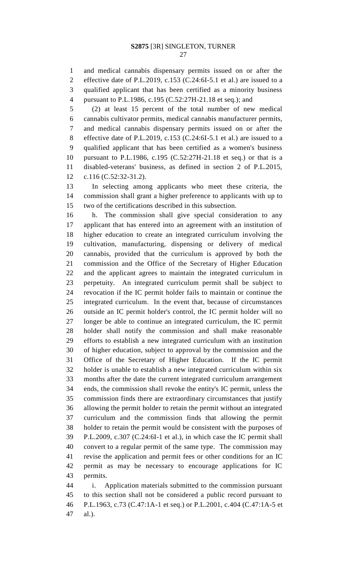and medical cannabis dispensary permits issued on or after the effective date of P.L.2019, c.153 (C.24:6I-5.1 et al.) are issued to a qualified applicant that has been certified as a minority business pursuant to P.L.1986, c.195 (C.52:27H-21.18 et seq.); and

 (2) at least 15 percent of the total number of new medical cannabis cultivator permits, medical cannabis manufacturer permits, and medical cannabis dispensary permits issued on or after the effective date of P.L.2019, c.153 (C.24:6I-5.1 et al.) are issued to a qualified applicant that has been certified as a women's business pursuant to P.L.1986, c.195 (C.52:27H-21.18 et seq.) or that is a disabled-veterans' business, as defined in section 2 of P.L.2015, c.116 (C.52:32-31.2).

 In selecting among applicants who meet these criteria, the commission shall grant a higher preference to applicants with up to two of the certifications described in this subsection.

 h. The commission shall give special consideration to any applicant that has entered into an agreement with an institution of higher education to create an integrated curriculum involving the cultivation, manufacturing, dispensing or delivery of medical cannabis, provided that the curriculum is approved by both the commission and the Office of the Secretary of Higher Education and the applicant agrees to maintain the integrated curriculum in perpetuity. An integrated curriculum permit shall be subject to revocation if the IC permit holder fails to maintain or continue the integrated curriculum. In the event that, because of circumstances outside an IC permit holder's control, the IC permit holder will no longer be able to continue an integrated curriculum, the IC permit holder shall notify the commission and shall make reasonable efforts to establish a new integrated curriculum with an institution of higher education, subject to approval by the commission and the Office of the Secretary of Higher Education. If the IC permit holder is unable to establish a new integrated curriculum within six months after the date the current integrated curriculum arrangement ends, the commission shall revoke the entity's IC permit, unless the commission finds there are extraordinary circumstances that justify allowing the permit holder to retain the permit without an integrated curriculum and the commission finds that allowing the permit holder to retain the permit would be consistent with the purposes of P.L.2009, c.307 (C.24:6I-1 et al.), in which case the IC permit shall convert to a regular permit of the same type. The commission may revise the application and permit fees or other conditions for an IC permit as may be necessary to encourage applications for IC permits.

 i. Application materials submitted to the commission pursuant to this section shall not be considered a public record pursuant to P.L.1963, c.73 (C.47:1A-1 et seq.) or P.L.2001, c.404 (C.47:1A-5 et al.).